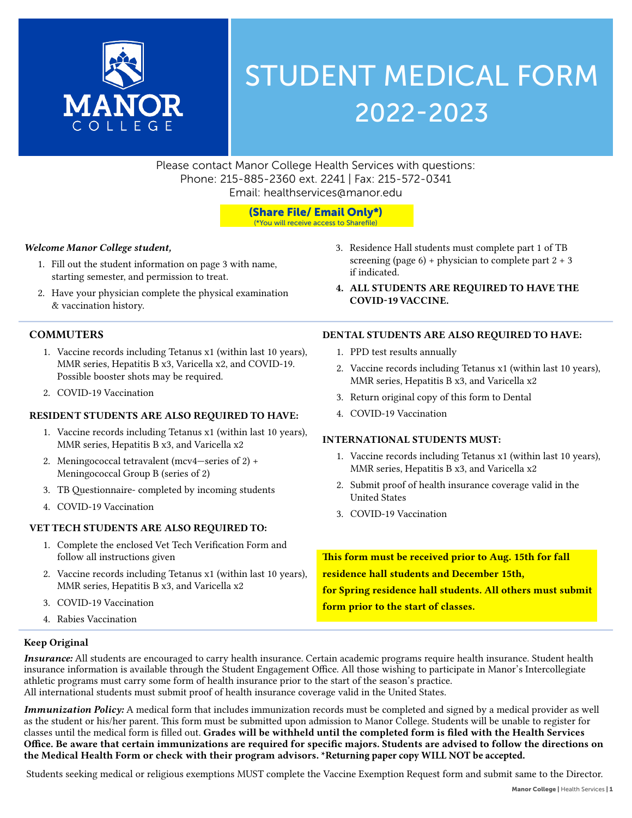

# STUDENT MEDICAL FORM 2022-2023

Please contact Manor College Health Services with questions: Phone: 215-885-2360 ext. 2241 | Fax: 215-572-0341 Email: healthservices@manor.edu

### (Share File/ Email Only\*)

(\*You will receive access to Sharefile)

### *Welcome Manor College student,*

- 1. Fill out the student information on page 3 with name, starting semester, and permission to treat.
- 2. Have your physician complete the physical examination & vaccination history.

### **COMMUTERS**

- 1. Vaccine records including Tetanus x1 (within last 10 years), MMR series, Hepatitis B x3, Varicella x2, and COVID-19. Possible booster shots may be required.
- 2. COVID-19 Vaccination

### RESIDENT STUDENTS ARE ALSO REQUIRED TO HAVE:

- 1. Vaccine records including Tetanus x1 (within last 10 years), MMR series, Hepatitis B x3, and Varicella x2
- 2. Meningococcal tetravalent (mcv4—series of 2) + Meningococcal Group B (series of 2)
- 3. TB Questionnaire- completed by incoming students
- 4. COVID-19 Vaccination

### VET TECH STUDENTS ARE ALSO REQUIRED TO:

- 1. Complete the enclosed Vet Tech Verification Form and follow all instructions given
- 2. Vaccine records including Tetanus x1 (within last 10 years), MMR series, Hepatitis B x3, and Varicella x2
- 3. COVID-19 Vaccination
- 4. Rabies Vaccination
- 3. Residence Hall students must complete part 1 of TB screening (page  $6$ ) + physician to complete part  $2 + 3$ if indicated.
- 4. ALL STUDENTS ARE REQUIRED TO HAVE THE COVID-19 VACCINE.

### DENTAL STUDENTS ARE ALSO REQUIRED TO HAVE:

- 1. PPD test results annually
- 2. Vaccine records including Tetanus x1 (within last 10 years), MMR series, Hepatitis B x3, and Varicella x2
- 3. Return original copy of this form to Dental
- 4. COVID-19 Vaccination

### INTERNATIONAL STUDENTS MUST:

- 1. Vaccine records including Tetanus x1 (within last 10 years), MMR series, Hepatitis B x3, and Varicella x2
- 2. Submit proof of health insurance coverage valid in the United States
- 3. COVID-19 Vaccination

This form must be received prior to Aug. 15th for fall residence hall students and December 15th, for Spring residence hall students. All others must submit form prior to the start of classes.

### Keep Original

*Insurance:* All students are encouraged to carry health insurance. Certain academic programs require health insurance. Student health insurance information is available through the Student Engagement Office. All those wishing to participate in Manor's Intercollegiate athletic programs must carry some form of health insurance prior to the start of the season's practice. All international students must submit proof of health insurance coverage valid in the United States.

*Immunization Policy:* A medical form that includes immunization records must be completed and signed by a medical provider as well as the student or his/her parent. This form must be submitted upon admission to Manor College. Students will be unable to register for classes until the medical form is filled out. Grades will be withheld until the completed form is filed with the Health Services Office. Be aware that certain immunizations are required for specific majors. Students are advised to follow the directions on the Medical Health Form or check with their program advisors**. \*Returning paper copy WILL NOT be accepted.** 

Students seeking medical or religious exemptions MUST complete the Vaccine Exemption Request form and submit same to the Director.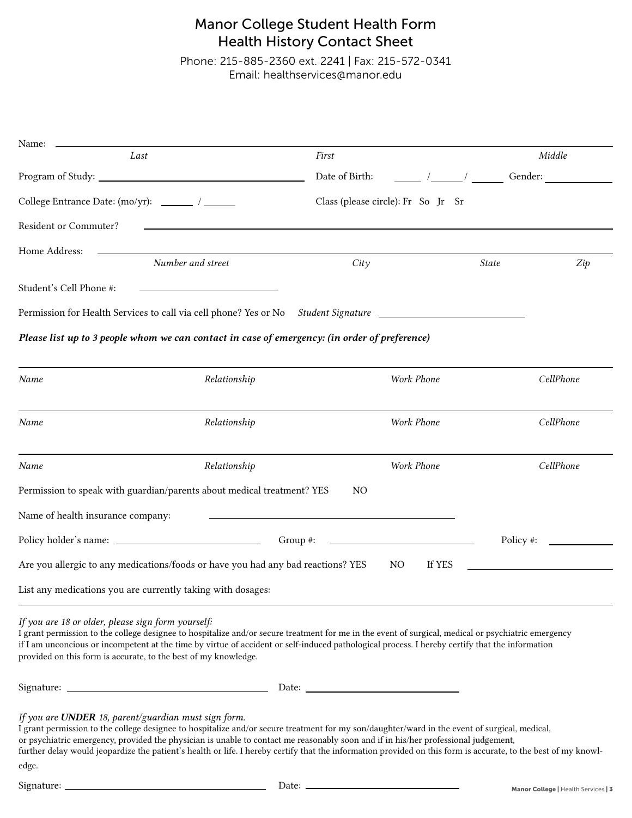### Manor College Student Health Form Health History Contact Sheet

Phone: 215-885-2360 ext. 2241 | Fax: 215-572-0341 Email: healthservices@manor.edu

| Name:                                           |                                                                                                                  |                |                                    |                     |
|-------------------------------------------------|------------------------------------------------------------------------------------------------------------------|----------------|------------------------------------|---------------------|
|                                                 | Last                                                                                                             | First          |                                    | Middle              |
|                                                 |                                                                                                                  | Date of Birth: | $\sqrt{2}$ $\sqrt{2}$              | Gender:             |
| College Entrance Date: (mo/yr): ______ / ______ |                                                                                                                  |                | Class (please circle): Fr So Jr Sr |                     |
| Resident or Commuter?                           | and the control of the control of the control of the control of the control of the control of the control of the |                |                                    |                     |
| Home Address:                                   |                                                                                                                  |                |                                    |                     |
|                                                 | Number and street                                                                                                | City           |                                    | <b>State</b><br>Zip |
| Student's Cell Phone #:                         | the control of the control of the control of the control of the control of                                       |                |                                    |                     |
|                                                 | Permission for Health Services to call via cell phone? Yes or No Student Signature                               |                |                                    |                     |
|                                                 | Please list up to 3 people whom we can contact in case of emergency: (in order of preference)                    |                |                                    |                     |
| Name                                            | Relationship                                                                                                     |                | Work Phone                         | CellPhone           |
| Name                                            | Relationship                                                                                                     |                | Work Phone                         | CellPhone           |
| Name                                            | Relationship                                                                                                     |                | Work Phone                         | CellPhone           |
|                                                 | Permission to speak with guardian/parents about medical treatment? YES                                           | N <sub>O</sub> |                                    |                     |
| Name of health insurance company:               |                                                                                                                  |                |                                    |                     |
|                                                 |                                                                                                                  | Group $#$ :    |                                    | Policy #:           |
|                                                 | Are you allergic to any medications/foods or have you had any bad reactions? YES                                 |                | If YES<br>N <sub>O</sub>           |                     |

List any medications you are currently taking with dosages:

#### *If you are 18 or older, please sign form yourself:*

I grant permission to the college designee to hospitalize and/or secure treatment for me in the event of surgical, medical or psychiatric emergency if I am unconcious or incompetent at the time by virtue of accident or self-induced pathological process. I hereby certify that the information provided on this form is accurate, to the best of my knowledge.

Signature: Date:

### *If you are UNDER 18, parent/guardian must sign form.*

I grant permission to the college designee to hospitalize and/or secure treatment for my son/daughter/ward in the event of surgical, medical, or psychiatric emergency, provided the physician is unable to contact me reasonably soon and if in his/her professional judgement, further delay would jeopardize the patient's health or life. I hereby certify that the information provided on this form is accurate, to the best of my knowledge.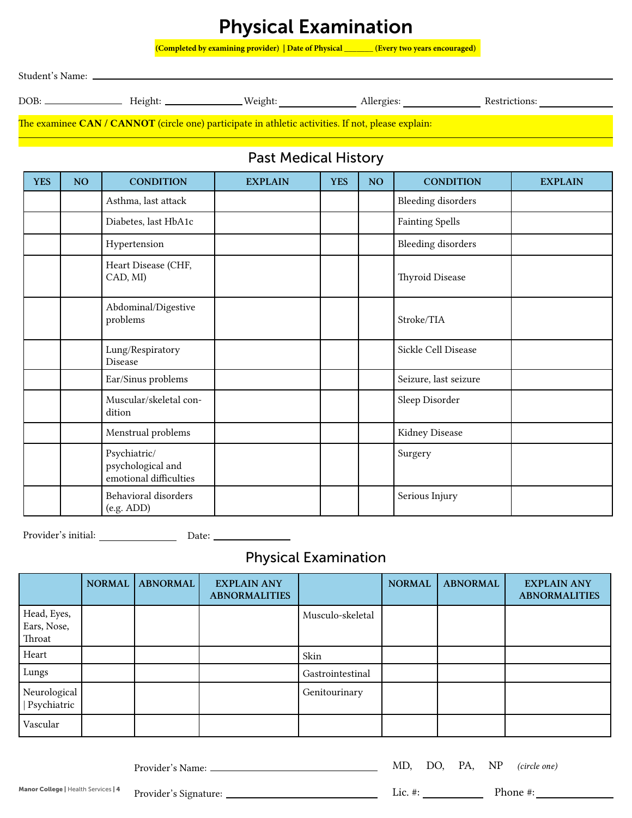## Physical Examination

**(Completed by examining provider) | Date of Physical \_\_\_\_\_\_\_ (Every two years encouraged)**

Student's Name:

DOB: Height: Weight: Allergies: Restrictions:

The examinee CAN / CANNOT (circle one) participate in athletic activities. If not, please explain:

### Past Medical History

| <b>YES</b> | NO | <b>CONDITION</b>                                            | <b>EXPLAIN</b> | <b>YES</b> | NO | <b>CONDITION</b>          | <b>EXPLAIN</b> |
|------------|----|-------------------------------------------------------------|----------------|------------|----|---------------------------|----------------|
|            |    | Asthma, last attack                                         |                |            |    | <b>Bleeding disorders</b> |                |
|            |    | Diabetes, last HbA1c                                        |                |            |    | <b>Fainting Spells</b>    |                |
|            |    | Hypertension                                                |                |            |    | <b>Bleeding disorders</b> |                |
|            |    | Heart Disease (CHF,<br>CAD, MI)                             |                |            |    | Thyroid Disease           |                |
|            |    | Abdominal/Digestive<br>problems                             |                |            |    | Stroke/TIA                |                |
|            |    | Lung/Respiratory<br>Disease                                 |                |            |    | Sickle Cell Disease       |                |
|            |    | Ear/Sinus problems                                          |                |            |    | Seizure, last seizure     |                |
|            |    | Muscular/skeletal con-<br>dition                            |                |            |    | Sleep Disorder            |                |
|            |    | Menstrual problems                                          |                |            |    | Kidney Disease            |                |
|            |    | Psychiatric/<br>psychological and<br>emotional difficulties |                |            |    | Surgery                   |                |
|            |    | Behavioral disorders<br>(e.g. ADD)                          |                |            |    | Serious Injury            |                |

Provider's initial: Date:

### Physical Examination

|                                      | <b>NORMAL</b> | <b>ABNORMAL</b> | <b>EXPLAIN ANY</b><br><b>ABNORMALITIES</b> |                  | <b>NORMAL</b> | <b>ABNORMAL</b> | <b>EXPLAIN ANY</b><br><b>ABNORMALITIES</b> |
|--------------------------------------|---------------|-----------------|--------------------------------------------|------------------|---------------|-----------------|--------------------------------------------|
| Head, Eyes,<br>Ears, Nose,<br>Throat |               |                 |                                            | Musculo-skeletal |               |                 |                                            |
| Heart                                |               |                 |                                            | Skin             |               |                 |                                            |
| Lungs                                |               |                 |                                            | Gastrointestinal |               |                 |                                            |
| Neurological<br>Psychiatric          |               |                 |                                            | Genitourinary    |               |                 |                                            |
| Vascular                             |               |                 |                                            |                  |               |                 |                                            |

Provider's Name:

MD, DO, PA, NP *(circle one)*

Manor College | Health Services | 4 Provider's Signature:

Lic. #: Phone #: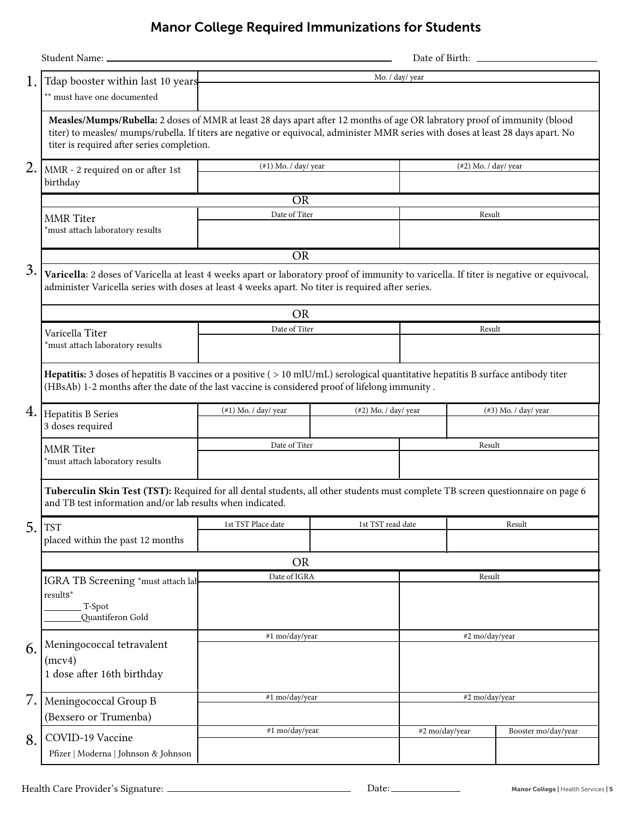### Manor College Required Immunizations for Students

| 1. | Tdap booster within last 10 years<br>** must have one documented                                                                                                                                                                                                                                              |                                                    | Mo. / day/ year   |                      |                         |  |
|----|---------------------------------------------------------------------------------------------------------------------------------------------------------------------------------------------------------------------------------------------------------------------------------------------------------------|----------------------------------------------------|-------------------|----------------------|-------------------------|--|
|    | Measles/Mumps/Rubella: 2 doses of MMR at least 28 days apart after 12 months of age OR labratory proof of immunity (blood<br>titer) to measles/ mumps/rubella. If titers are negative or equivocal, administer MMR series with doses at least 28 days apart. No<br>titer is required after series completion. |                                                    |                   |                      |                         |  |
| 2. | MMR - 2 required on or after 1st                                                                                                                                                                                                                                                                              | $(\#1)$ Mo. / day/ year                            |                   | (#2) Mo. / day/ year |                         |  |
|    | birthday                                                                                                                                                                                                                                                                                                      |                                                    |                   |                      |                         |  |
|    |                                                                                                                                                                                                                                                                                                               | <b>OR</b>                                          |                   |                      |                         |  |
|    | <b>MMR</b> Titer<br>*must attach laboratory results                                                                                                                                                                                                                                                           | Date of Titer                                      |                   | Result               |                         |  |
|    |                                                                                                                                                                                                                                                                                                               | <b>OR</b>                                          |                   |                      |                         |  |
| 3. | Varicella: 2 doses of Varicella at least 4 weeks apart or laboratory proof of immunity to varicella. If titer is negative or equivocal,<br>administer Varicella series with doses at least 4 weeks apart. No titer is required after series.                                                                  |                                                    |                   |                      |                         |  |
|    |                                                                                                                                                                                                                                                                                                               | <b>OR</b>                                          |                   |                      |                         |  |
|    | Varicella Titer<br>*must attach laboratory results                                                                                                                                                                                                                                                            | Date of Titer                                      |                   | Result               |                         |  |
|    | Hepatitis: 3 doses of hepatitis B vaccines or a positive (>10 mlU/mL) serological quantitative hepatitis B surface antibody titer<br>(HBsAb) 1-2 months after the date of the last vaccine is considered proof of lifelong immunity.                                                                          |                                                    |                   |                      |                         |  |
|    | 4. Hepatitis B Series                                                                                                                                                                                                                                                                                         | $(\#1)$ Mo. / day/ year<br>$(\#2)$ Mo. / day/ year |                   |                      | $(\#3)$ Mo. / day/ year |  |
|    | 3 doses required                                                                                                                                                                                                                                                                                              |                                                    |                   |                      |                         |  |
|    | <b>MMR</b> Titer                                                                                                                                                                                                                                                                                              | Date of Titer                                      |                   | Result               |                         |  |
|    | *must attach laboratory results                                                                                                                                                                                                                                                                               |                                                    |                   |                      |                         |  |
|    | Tuberculin Skin Test (TST): Required for all dental students, all other students must complete TB screen questionnaire on page 6<br>and TB test information and/or lab results when indicated.                                                                                                                |                                                    |                   |                      |                         |  |
| 5. | <b>TST</b>                                                                                                                                                                                                                                                                                                    | 1st TST Place date                                 | 1st TST read date |                      | Result                  |  |
|    | placed within the past 12 months                                                                                                                                                                                                                                                                              |                                                    |                   |                      |                         |  |
|    |                                                                                                                                                                                                                                                                                                               | <b>OR</b>                                          |                   |                      |                         |  |
|    | IGRA TB Screening *must attach lab                                                                                                                                                                                                                                                                            | Date of IGRA                                       |                   | Result               |                         |  |
|    | results*<br>T-Spot<br>Quantiferon Gold                                                                                                                                                                                                                                                                        |                                                    |                   |                      |                         |  |
|    |                                                                                                                                                                                                                                                                                                               | #1 mo/day/year                                     |                   | #2 mo/day/year       |                         |  |
| 6. | Meningococcal tetravalent<br>(mcv4)<br>1 dose after 16th birthday                                                                                                                                                                                                                                             |                                                    |                   |                      |                         |  |
| 7. | Meningococcal Group B<br>(Bexsero or Trumenba)                                                                                                                                                                                                                                                                | #1 mo/day/year                                     |                   | #2 mo/day/year       |                         |  |
| 8. | COVID-19 Vaccine                                                                                                                                                                                                                                                                                              | #1 mo/day/year                                     |                   | #2 mo/day/year       | Booster mo/day/year     |  |
|    | Pfizer   Moderna   Johnson & Johnson                                                                                                                                                                                                                                                                          |                                                    |                   |                      |                         |  |

Phone #: Health Care Provider's Signature: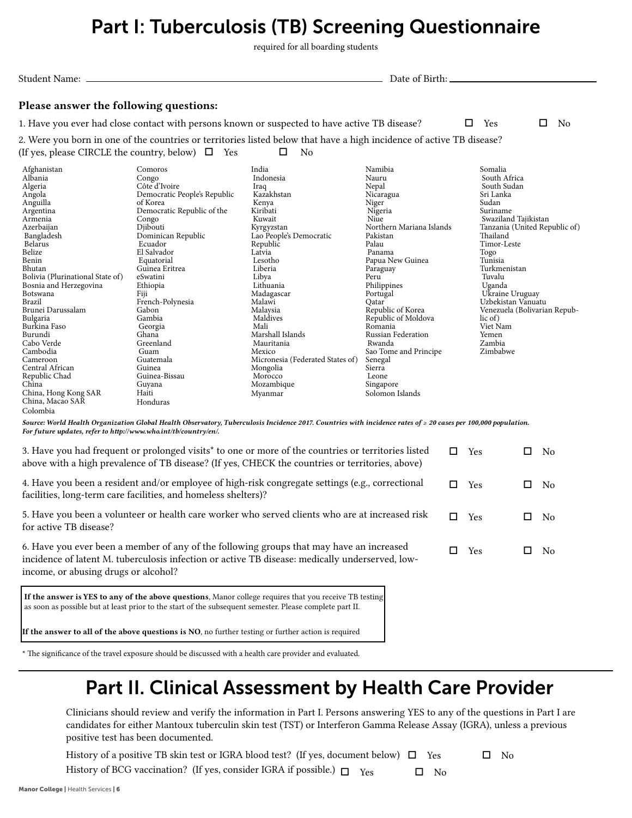# Part I: Tuberculosis (TB) Screening Questionnaire

required for all boarding students

Please answer the following questions: 1. Have you ever had close contact with persons known or suspected to have active TB disease?  $\square$  Yes  $\square$  No 2. Were you born in one of the countries or territories listed below that have a high incidence of active TB disease? (If yes, please CIRCLE the country, below)  $\Box$  Yes  $\Box$  No Afghanistan Albania Algeria Angola Anguilla Argentina Armenia Azerbaijan Bangladesh Belarus Belize Benin Bhutan Bolivia (Plurinational State of) Bosnia and Herzegovina Botswana Brazil Brunei Darussalam Bulgaria Burkina Faso Burundi Cabo Verde Cambodia Cameroon Central African Republic Chad China China, Hong Kong SAR Comoros Congo Côte d'Ivoire Democratic People's Republic of Korea Democratic Republic of the Congo Diibouti Dominican Republic Ecuador El Salvador Equatorial Guinea Eritrea eSwatini Ethiopia Fiji French-Polynesia Gabon Gambia Georgia Ghana Greenland Guam Guatemala Guinea Guinea-Bissau Guyana Haiti India Indonesia Iraq Kazakhstan Kenya Kiribati Kuwait Kyrgyzstan Lao People's Democratic Republic Latvia Lesotho Liberia Libya Lithuania Madagascar Malawi Malaysia Maldives Mali Marshall Islands Mauritania Mexico Micronesia (Federated States of) Mongolia Morocco Mozambique Myanmar Namibia Nauru Nepal Nicaragua Niger Nigeria Niue Northern Mariana Islands Pakistan Palau Panama Papua New Guinea Paraguay Peru Philippines Portugal Qatar Republic of Korea Republic of Moldova Romania Russian Federation Rwanda Sao Tome and Principe Senegal Sierra Leone Singapore Solomon Islands Somalia South Africa South Sudan Sri Lanka Sudan Suriname Swaziland Tajikistan Tanzania (United Republic of) Thailand Timor-Leste Togo Tunisia Turkmenistan Tuvalu Uganda Ukraine Uruguay Uzbekistan Vanuatu Venezuela (Bolivarian Republic of) Viet Nam Yemen Zambia Zimbabwe Student Name: Date of Birth:

*Source: World Health Organization Global Health Observatory, Tuberculosis Incidence 2017. Countries with incidence rates of ≥ 20 cases per 100,000 population. For future updates, refer to http://www.who.int/tb/country/en/.*

| 3. Have you had frequent or prolonged visits <sup>*</sup> to one or more of the countries or territories listed<br>above with a high prevalence of TB disease? (If yes, CHECK the countries or territories, above)                  |   | Yes | N <sub>0</sub> |
|-------------------------------------------------------------------------------------------------------------------------------------------------------------------------------------------------------------------------------------|---|-----|----------------|
| 4. Have you been a resident and/or employee of high-risk congregate settings (e.g., correctional<br>facilities, long-term care facilities, and homeless shelters)?                                                                  | П | Yes | N <sub>0</sub> |
| 5. Have you been a volunteer or health care worker who served clients who are at increased risk<br>for active TB disease?                                                                                                           | □ | Yes | N <sub>0</sub> |
| 6. Have you ever been a member of any of the following groups that may have an increased<br>incidence of latent M. tuberculosis infection or active TB disease: medically underserved, low-<br>income, or abusing drugs or alcohol? | □ | Yes | No.            |
| If the answer is YES to any of the above questions, Manor college requires that you receive TB testing<br>as soon as possible but at least prior to the start of the subsequent semester. Please complete part II.                  |   |     |                |
| If the answer to all of the above questions is NO, no further testing or further action is required                                                                                                                                 |   |     |                |

\* The significance of the travel exposure should be discussed with a health care provider and evaluated.

Honduras

# Part II. Clinical Assessment by Health Care Provider

Clinicians should review and verify the information in Part I. Persons answering YES to any of the questions in Part I are candidates for either Mantoux tuberculin skin test (TST) or Interferon Gamma Release Assay (IGRA), unless a previous positive test has been documented.

History of a positive TB skin test or IGRA blood test? (If yes, document below)  $\Box$  Yes  $\Box$  No History of BCG vaccination? (If yes, consider IGRA if possible.)  $\Box$  Yes  $\Box$  No

China, Macao SAR Colombia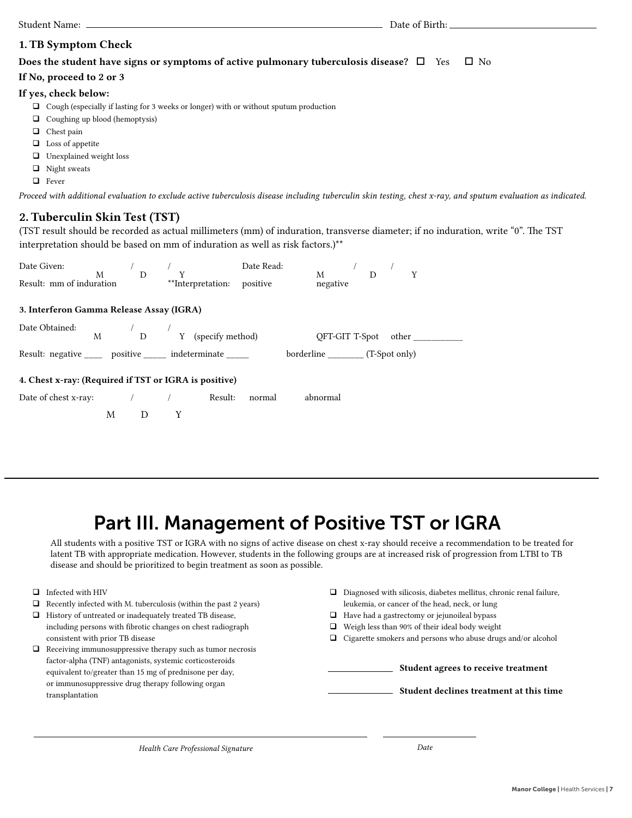### 1. TB Symptom Check

### Does the student have signs or symptoms of active pulmonary tuberculosis disease?  $\Box$  Yes  $\Box$  No

#### If No, proceed to 2 or 3

### If yes, check below:

- $\Box$  Cough (especially if lasting for 3 weeks or longer) with or without sputum production
- $\Box$  Coughing up blood (hemoptysis)
- **Q** Chest pain
- $\Box$  Loss of appetite
- □ Unexplained weight loss
- $\Box$  Night sweats
- $\Box$  Fever

*Proceed with additional evaluation to exclude active tuberculosis disease including tuberculin skin testing, chest x-ray, and sputum evaluation as indicated.*

### 2. Tuberculin Skin Test (TST)

(TST result should be recorded as actual millimeters (mm) of induration, transverse diameter; if no induration, write "0". The TST interpretation should be based on mm of induration as well as risk factors.)\*\*

|                                                                                                                           |  |       |  |  | Date Read: | $M$ / $D$ / $Y$ |  |  |  |
|---------------------------------------------------------------------------------------------------------------------------|--|-------|--|--|------------|-----------------|--|--|--|
|                                                                                                                           |  |       |  |  |            | negative        |  |  |  |
| 3. Interferon Gamma Release Assay (IGRA)                                                                                  |  |       |  |  |            |                 |  |  |  |
| Date Obtained: $\hfill M$ $\hfill$ / $\hfill$ $\hfill$ Y (specify method) $\hfill$ QFT-GIT T-Spot $\hfill$ other $\hfill$ |  |       |  |  |            |                 |  |  |  |
| Result: negative _______ positive _______ indeterminate _______ borderline _______ (T-Spot only)                          |  |       |  |  |            |                 |  |  |  |
| 4. Chest x-ray: (Required if TST or IGRA is positive)                                                                     |  |       |  |  |            |                 |  |  |  |
| Date of chest x-ray: $\frac{1}{2}$ / Result:                                                                              |  |       |  |  | normal     | abnormal        |  |  |  |
|                                                                                                                           |  | M D Y |  |  |            |                 |  |  |  |

# Part III. Management of Positive TST or IGRA

All students with a positive TST or IGRA with no signs of active disease on chest x-ray should receive a recommendation to be treated for latent TB with appropriate medication. However, students in the following groups are at increased risk of progression from LTBI to TB disease and should be prioritized to begin treatment as soon as possible.

- $\Box$  Infected with HIV
- $\Box$  Recently infected with M. tuberculosis (within the past 2 years)
- History of untreated or inadequately treated TB disease, including persons with fibrotic changes on chest radiograph consistent with prior TB disease
- $\Box$  Receiving immunosuppressive therapy such as tumor necrosis factor-alpha (TNF) antagonists, systemic corticosteroids equivalent to/greater than 15 mg of prednisone per day, or immunosuppressive drug therapy following organ transplantation
- $\hfill\Box$  Diagnosed with silicosis, diabetes mellitus, chronic renal failure, leukemia, or cancer of the head, neck, or lung
- $\Box$  Have had a gastrectomy or jejunoileal bypass
- $\Box$  Weigh less than 90% of their ideal body weight
- $\Box$  Cigarette smokers and persons who abuse drugs and/or alcohol

|  | Student agrees to receive treatment     |
|--|-----------------------------------------|
|  | Student declines treatment at this time |